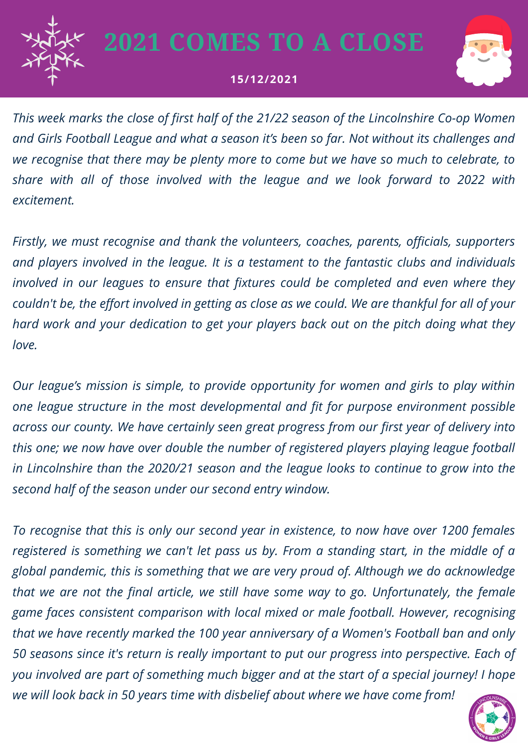

## **2021 COMES TO A CLOSE**

## **15/12/2021**



*This week marks the close of first half of the 21/22 season of the Lincolnshire Co-op Women and Girls Football League and what a season it's been so far. Not without its challenges and we recognise that there may be plenty more to come but we have so much to celebrate, to share with all of those involved with the league and we look forward to 2022 with excitement.*

*Firstly, we must recognise and thank the volunteers, coaches, parents, officials, supporters and players involved in the league. It is a testament to the fantastic clubs and individuals involved in our leagues to ensure that fixtures could be completed and even where they* couldn't be, the effort involved in getting as close as we could. We are thankful for all of your *hard work and your dedication to get your players back out on the pitch doing what they love.*

*Our league's mission is simple, to provide opportunity for women and girls to play within one league structure in the most developmental and fit for purpose environment possible across our county. We have certainly seen great progress from our first year of delivery into this one; we now have over double the number of registered players playing league football in Lincolnshire than the 2020/21 season and the league looks to continue to grow into the second half of the season under our second entry window.*

*To recognise that this is only our second year in existence, to now have over 1200 females registered is something we can't let pass us by. From a standing start, in the middle of a global pandemic, this is something that we are very proud of. Although we do acknowledge that we are not the final article, we still have some way to go. Unfortunately, the female game faces consistent comparison with local mixed or male football. However, recognising that we have recently marked the 100 year anniversary of a Women's Football ban and only 50 seasons since it's return is really important to put our progress into perspective. Each of you involved are part of something much bigger and at the start of a special journey! I hope we will look back in 50 years time with disbelief about where we have come from!*